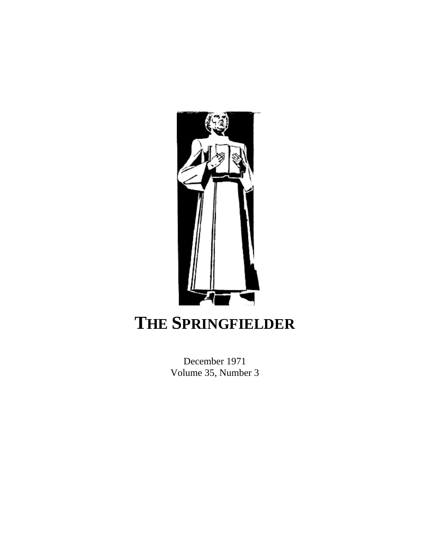

## **THE SPRINGFIELDER**

December 1971 Volume 35, Number 3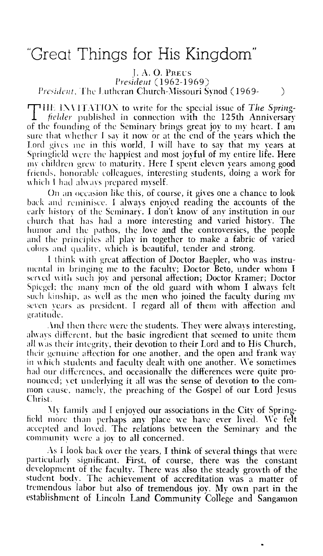## "Great Things for His Kingdom"

 $I. A. O.$  Precs President (1962-1969) President, The Lutheran Church-Missouri Synod (1969- $\mathcal{E}$ 

**THE INVITATION** to write for the special issue of The Springfielder published in connection with the 125th Anniversary of the founding of the Seminary brings great joy to my heart. I am sure that whether I say it now or at the end of the years which the Lord gives me in this world, I will have to say that my vears at Springfield were the happiest and most jovful of my entire life. Here my children grew to maturity. Here I spent eleven years among good friends, honorable colleagues, interesting students, doing a work for which I had always prepared myself.

On an occasion like this, of course, it gives one a chance to look back and reminisce. I always enjoved reading the accounts of the early history of the Seminary. I don't know of any institution in our church that has had a more interesting and varied history. The humor and the pathos, the love and the controversies, the people and the principles all play in together to make a fabric of varied colors and quality, which is beautiful, tender and strong.

I think with great affection of Doctor Baepler, who was instrumental in bringing me to the faculty; Doctor Beto, under whom I served with such joy and personal affection; Doctor Kramer; Doctor Spiegel; the many men of the old guard with whom I always felt such kinship, as well as the men who joined the faculty during my seven years as president. I regard all of them with affection and gratitude.

And then there were the students. They were always interesting, always different, but the basic ingredient that seemed to unite them all was their integrity, their devotion to their Lord and to His Church, their genuine affection for one another, and the open and frank way in which students and faculty dealt with one another. We sometimes had our differences, and occasionally the differences were quite pronounced; vet underlying it all was the sense of devotion to the common cause, namely, the preaching of the Gospel of our Lord Jesus Christ.

My family and I enjoved our associations in the City of Springfield more than perhaps any place we have ever lived. We felt accepted and loved. The relations between the Seminary and the community were a joy to all concerned.

As I look back over the years, I think of several things that were particularly significant. First, of course, there was the constant development of the faculty. There was also the steady growth of the student body. The achievement of accreditation was a matter of tremendous labor but also of tremendous joy. My own part in the establishment of Lincoln Land Community College and Sangamon